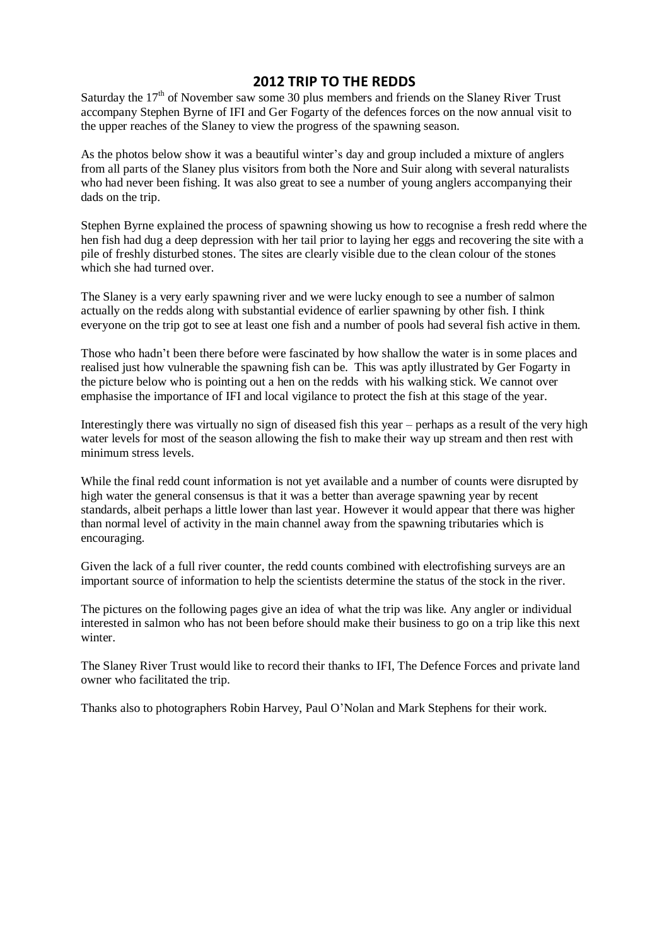## **2012 TRIP TO THE REDDS**

Saturday the  $17<sup>th</sup>$  of November saw some 30 plus members and friends on the Slaney River Trust accompany Stephen Byrne of IFI and Ger Fogarty of the defences forces on the now annual visit to the upper reaches of the Slaney to view the progress of the spawning season.

As the photos below show it was a beautiful winter's day and group included a mixture of anglers from all parts of the Slaney plus visitors from both the Nore and Suir along with several naturalists who had never been fishing. It was also great to see a number of young anglers accompanying their dads on the trip.

Stephen Byrne explained the process of spawning showing us how to recognise a fresh redd where the hen fish had dug a deep depression with her tail prior to laying her eggs and recovering the site with a pile of freshly disturbed stones. The sites are clearly visible due to the clean colour of the stones which she had turned over.

The Slaney is a very early spawning river and we were lucky enough to see a number of salmon actually on the redds along with substantial evidence of earlier spawning by other fish. I think everyone on the trip got to see at least one fish and a number of pools had several fish active in them.

Those who hadn't been there before were fascinated by how shallow the water is in some places and realised just how vulnerable the spawning fish can be. This was aptly illustrated by Ger Fogarty in the picture below who is pointing out a hen on the redds with his walking stick. We cannot over emphasise the importance of IFI and local vigilance to protect the fish at this stage of the year.

Interestingly there was virtually no sign of diseased fish this year – perhaps as a result of the very high water levels for most of the season allowing the fish to make their way up stream and then rest with minimum stress levels.

While the final redd count information is not yet available and a number of counts were disrupted by high water the general consensus is that it was a better than average spawning year by recent standards, albeit perhaps a little lower than last year. However it would appear that there was higher than normal level of activity in the main channel away from the spawning tributaries which is encouraging.

Given the lack of a full river counter, the redd counts combined with electrofishing surveys are an important source of information to help the scientists determine the status of the stock in the river.

The pictures on the following pages give an idea of what the trip was like. Any angler or individual interested in salmon who has not been before should make their business to go on a trip like this next winter

The Slaney River Trust would like to record their thanks to IFI, The Defence Forces and private land owner who facilitated the trip.

Thanks also to photographers Robin Harvey, Paul O'Nolan and Mark Stephens for their work.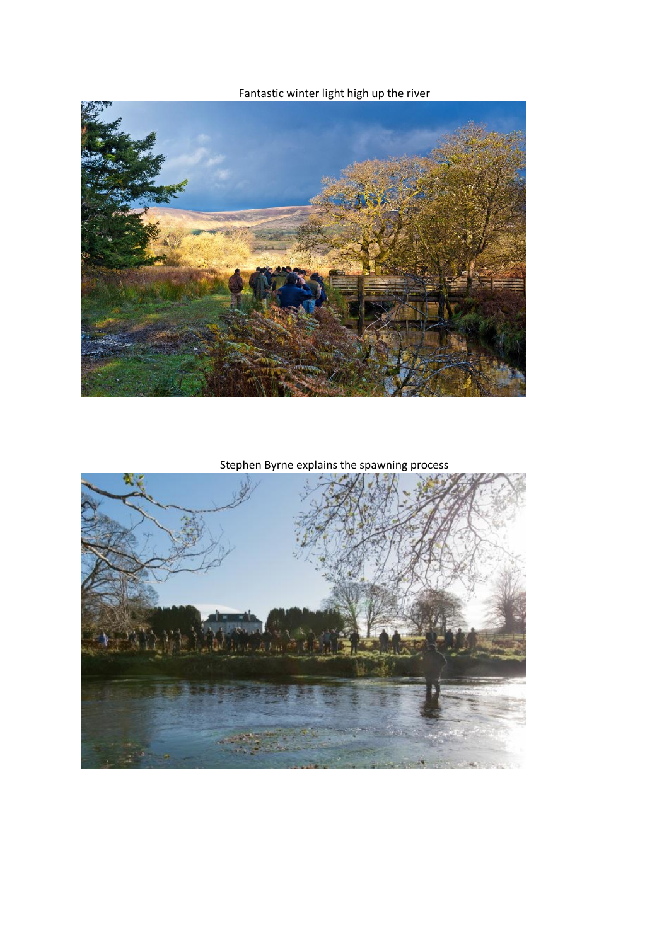Fantastic winter light high up the river



Stephen Byrne explains the spawning process

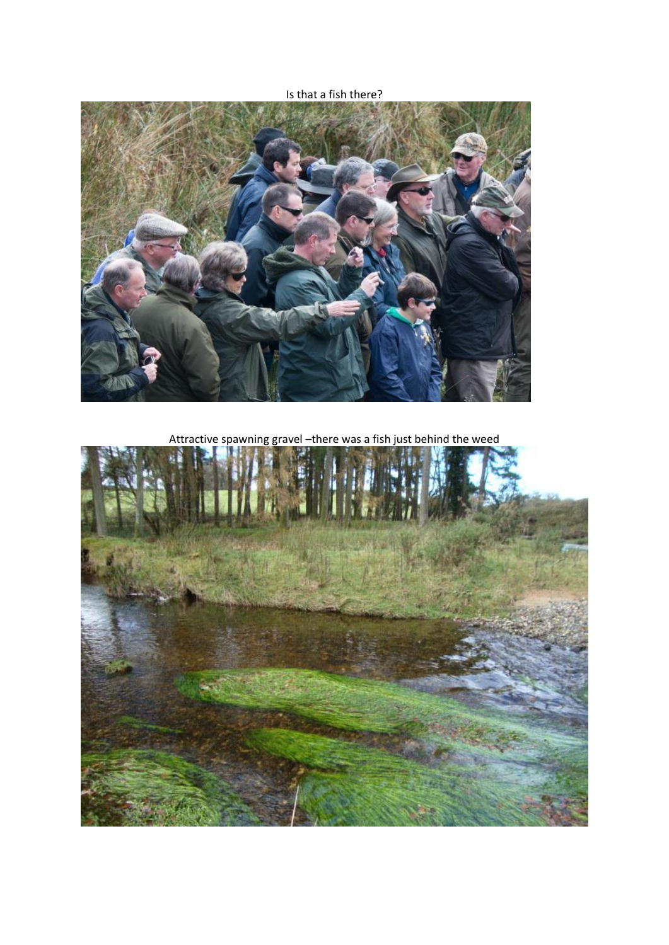Is that a fish there?



Attractive spawning gravel –there was a fish just behind the weed

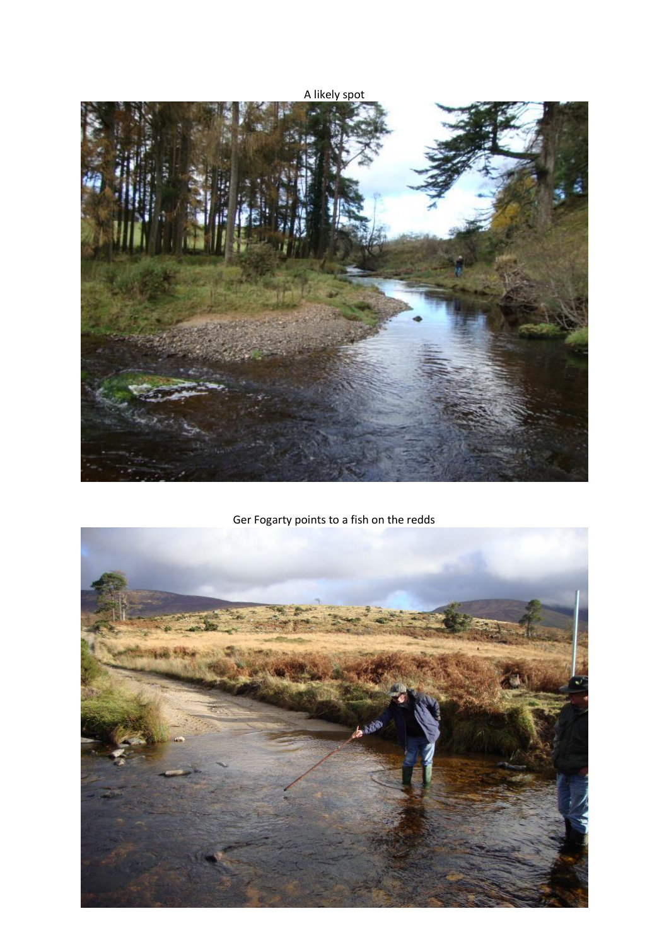

Ger Fogarty points to a fish on the redds